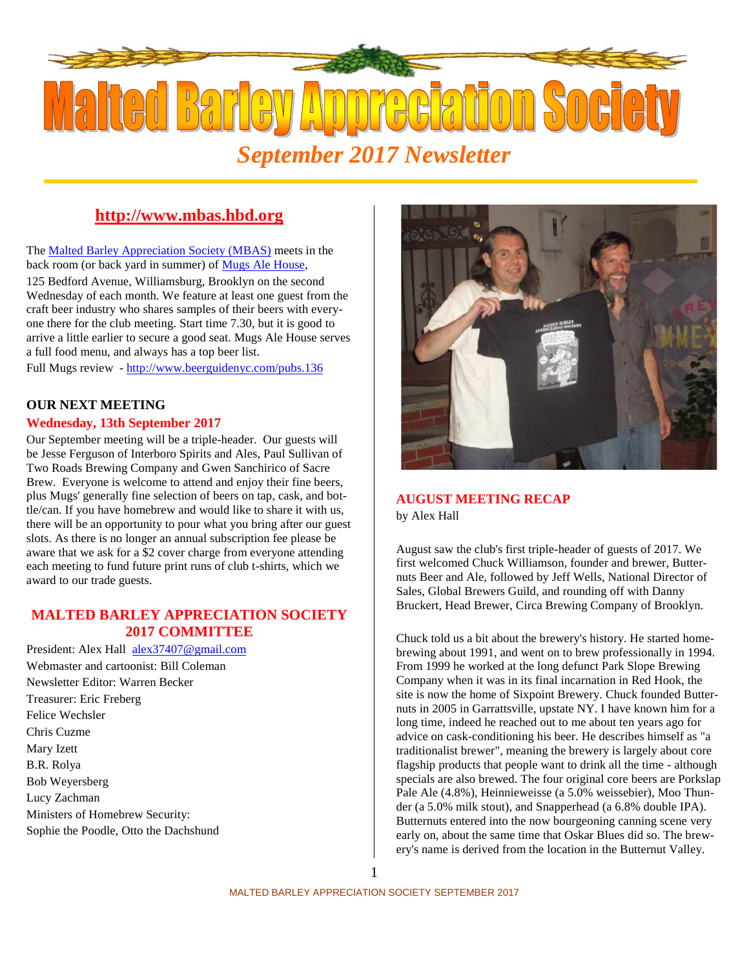

## **http://www.mbas.hbd.org**

The Malted Barley Appreciation Society (MBAS) meets in the back room (or back yard in summer) of Mugs Ale House,

125 Bedford Avenue, Williamsburg, Brooklyn on the second Wednesday of each month. We feature at least one guest from the craft beer industry who shares samples of their beers with everyone there for the club meeting. Start time 7.30, but it is good to arrive a little earlier to secure a good seat. Mugs Ale House serves a full food menu, and always has a top beer list.

Full Mugs review - http://www.beerguidenyc.com/pubs.136

# **OUR NEXT MEETING**

#### **Wednesday, 13th September 2017**

Our September meeting will be a triple-header. Our guests will be Jesse Ferguson of Interboro Spirits and Ales, Paul Sullivan of Two Roads Brewing Company and Gwen Sanchirico of Sacre Brew. Everyone is welcome to attend and enjoy their fine beers, plus Mugs' generally fine selection of beers on tap, cask, and bottle/can. If you have homebrew and would like to share it with us, there will be an opportunity to pour what you bring after our guest slots. As there is no longer an annual subscription fee please be aware that we ask for a \$2 cover charge from everyone attending each meeting to fund future print runs of club t-shirts, which we award to our trade guests.

### **MALTED BARLEY APPRECIATION SOCIETY 2017 COMMITTEE**

President: Alex Hall alex37407@gmail.com Webmaster and cartoonist: Bill Coleman Newsletter Editor: Warren Becker Treasurer: Eric Freberg Felice Wechsler Chris Cuzme Mary Izett B.R. Rolya Bob Weyersberg Lucy Zachman Ministers of Homebrew Security: Sophie the Poodle, Otto the Dachshund



## **AUGUST MEETING RECAP**

by Alex Hall

August saw the club's first triple-header of guests of 2017. We first welcomed Chuck Williamson, founder and brewer, Butternuts Beer and Ale, followed by Jeff Wells, National Director of Sales, Global Brewers Guild, and rounding off with Danny Bruckert, Head Brewer, Circa Brewing Company of Brooklyn.

Chuck told us a bit about the brewery's history. He started homebrewing about 1991, and went on to brew professionally in 1994. From 1999 he worked at the long defunct Park Slope Brewing Company when it was in its final incarnation in Red Hook, the site is now the home of Sixpoint Brewery. Chuck founded Butternuts in 2005 in Garrattsville, upstate NY. I have known him for a long time, indeed he reached out to me about ten years ago for advice on cask-conditioning his beer. He describes himself as "a traditionalist brewer", meaning the brewery is largely about core flagship products that people want to drink all the time - although specials are also brewed. The four original core beers are Porkslap Pale Ale (4.8%), Heinnieweisse (a 5.0% weissebier), Moo Thunder (a 5.0% milk stout), and Snapperhead (a 6.8% double IPA). Butternuts entered into the now bourgeoning canning scene very early on, about the same time that Oskar Blues did so. The brewery's name is derived from the location in the Butternut Valley.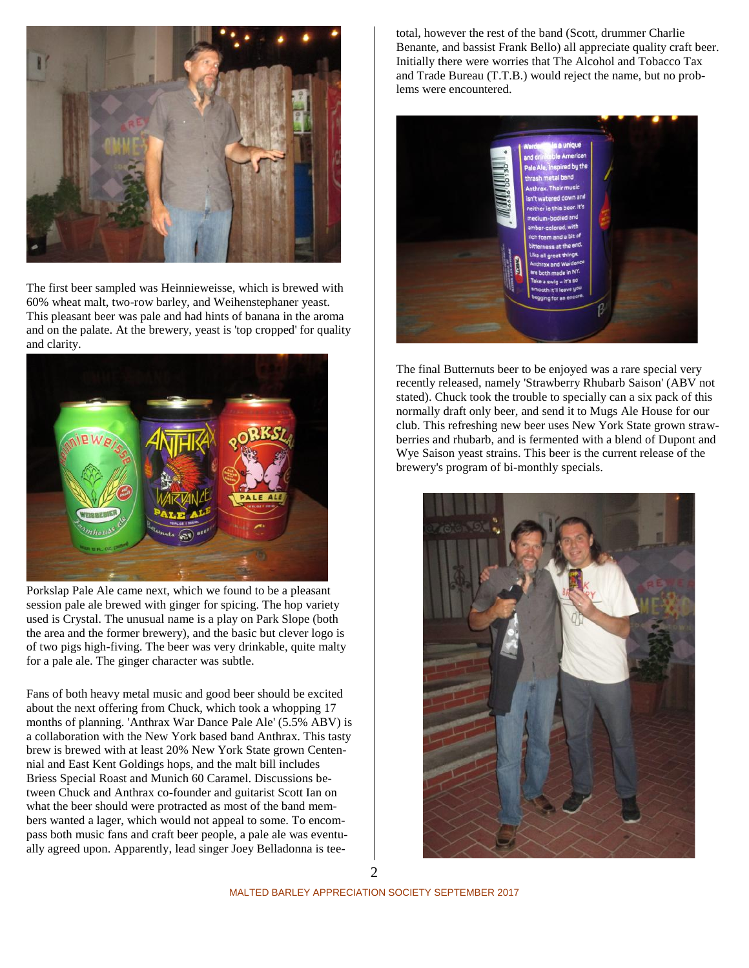

The first beer sampled was Heinnieweisse, which is brewed with 60% wheat malt, two-row barley, and Weihenstephaner yeast. This pleasant beer was pale and had hints of banana in the aroma and on the palate. At the brewery, yeast is 'top cropped' for quality and clarity.



Porkslap Pale Ale came next, which we found to be a pleasant session pale ale brewed with ginger for spicing. The hop variety used is Crystal. The unusual name is a play on Park Slope (both the area and the former brewery), and the basic but clever logo is of two pigs high-fiving. The beer was very drinkable, quite malty for a pale ale. The ginger character was subtle.

Fans of both heavy metal music and good beer should be excited about the next offering from Chuck, which took a whopping 17 months of planning. 'Anthrax War Dance Pale Ale' (5.5% ABV) is a collaboration with the New York based band Anthrax. This tasty brew is brewed with at least 20% New York State grown Centennial and East Kent Goldings hops, and the malt bill includes Briess Special Roast and Munich 60 Caramel. Discussions between Chuck and Anthrax co-founder and guitarist Scott Ian on what the beer should were protracted as most of the band members wanted a lager, which would not appeal to some. To encompass both music fans and craft beer people, a pale ale was eventually agreed upon. Apparently, lead singer Joey Belladonna is teetotal, however the rest of the band (Scott, drummer Charlie Benante, and bassist Frank Bello) all appreciate quality craft beer. Initially there were worries that The Alcohol and Tobacco Tax and Trade Bureau (T.T.B.) would reject the name, but no problems were encountered.



The final Butternuts beer to be enjoyed was a rare special very recently released, namely 'Strawberry Rhubarb Saison' (ABV not stated). Chuck took the trouble to specially can a six pack of this normally draft only beer, and send it to Mugs Ale House for our club. This refreshing new beer uses New York State grown strawberries and rhubarb, and is fermented with a blend of Dupont and Wye Saison yeast strains. This beer is the current release of the brewery's program of bi-monthly specials.

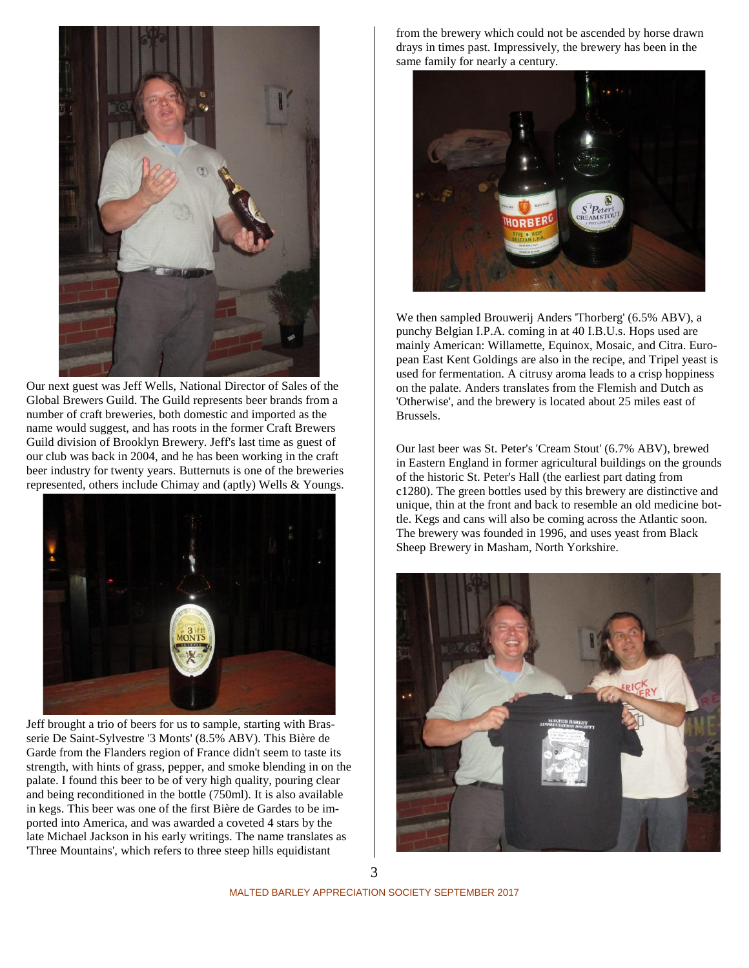

Our next guest was Jeff Wells, National Director of Sales of the Global Brewers Guild. The Guild represents beer brands from a number of craft breweries, both domestic and imported as the name would suggest, and has roots in the former Craft Brewers Guild division of Brooklyn Brewery. Jeff's last time as guest of our club was back in 2004, and he has been working in the craft beer industry for twenty years. Butternuts is one of the breweries represented, others include Chimay and (aptly) Wells & Youngs.



Jeff brought a trio of beers for us to sample, starting with Brasserie De Saint-Sylvestre '3 Monts' (8.5% ABV). This Bière de Garde from the Flanders region of France didn't seem to taste its strength, with hints of grass, pepper, and smoke blending in on the palate. I found this beer to be of very high quality, pouring clear and being reconditioned in the bottle (750ml). It is also available in kegs. This beer was one of the first Bière de Gardes to be imported into America, and was awarded a coveted 4 stars by the late Michael Jackson in his early writings. The name translates as 'Three Mountains', which refers to three steep hills equidistant

from the brewery which could not be ascended by horse drawn drays in times past. Impressively, the brewery has been in the same family for nearly a century.



We then sampled Brouwerij Anders 'Thorberg' (6.5% ABV), a punchy Belgian I.P.A. coming in at 40 I.B.U.s. Hops used are mainly American: Willamette, Equinox, Mosaic, and Citra. European East Kent Goldings are also in the recipe, and Tripel yeast is used for fermentation. A citrusy aroma leads to a crisp hoppiness on the palate. Anders translates from the Flemish and Dutch as 'Otherwise', and the brewery is located about 25 miles east of Brussels.

Our last beer was St. Peter's 'Cream Stout' (6.7% ABV), brewed in Eastern England in former agricultural buildings on the grounds of the historic St. Peter's Hall (the earliest part dating from c1280). The green bottles used by this brewery are distinctive and unique, thin at the front and back to resemble an old medicine bottle. Kegs and cans will also be coming across the Atlantic soon. The brewery was founded in 1996, and uses yeast from Black Sheep Brewery in Masham, North Yorkshire.

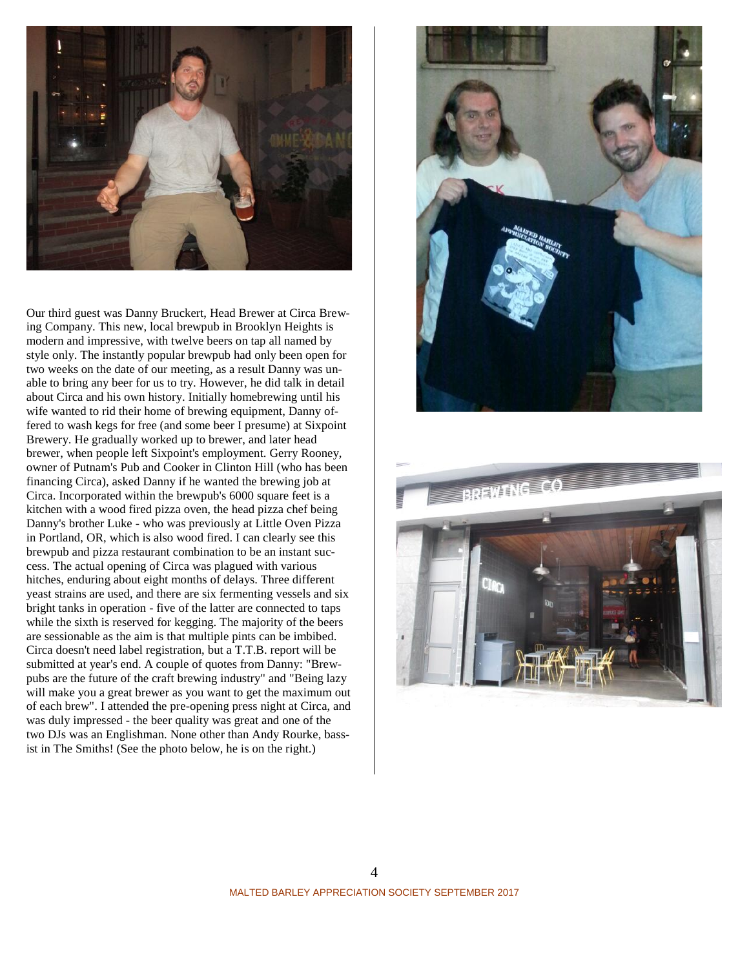

Our third guest was Danny Bruckert, Head Brewer at Circa Brewing Company. This new, local brewpub in Brooklyn Heights is modern and impressive, with twelve beers on tap all named by style only. The instantly popular brewpub had only been open for two weeks on the date of our meeting, as a result Danny was unable to bring any beer for us to try. However, he did talk in detail about Circa and his own history. Initially homebrewing until his wife wanted to rid their home of brewing equipment, Danny offered to wash kegs for free (and some beer I presume) at Sixpoint Brewery. He gradually worked up to brewer, and later head brewer, when people left Sixpoint's employment. Gerry Rooney, owner of Putnam's Pub and Cooker in Clinton Hill (who has been financing Circa), asked Danny if he wanted the brewing job at Circa. Incorporated within the brewpub's 6000 square feet is a kitchen with a wood fired pizza oven, the head pizza chef being Danny's brother Luke - who was previously at Little Oven Pizza in Portland, OR, which is also wood fired. I can clearly see this brewpub and pizza restaurant combination to be an instant success. The actual opening of Circa was plagued with various hitches, enduring about eight months of delays. Three different yeast strains are used, and there are six fermenting vessels and six bright tanks in operation - five of the latter are connected to taps while the sixth is reserved for kegging. The majority of the beers are sessionable as the aim is that multiple pints can be imbibed. Circa doesn't need label registration, but a T.T.B. report will be submitted at year's end. A couple of quotes from Danny: "Brewpubs are the future of the craft brewing industry" and "Being lazy will make you a great brewer as you want to get the maximum out of each brew". I attended the pre-opening press night at Circa, and was duly impressed - the beer quality was great and one of the two DJs was an Englishman. None other than Andy Rourke, bassist in The Smiths! (See the photo below, he is on the right.)